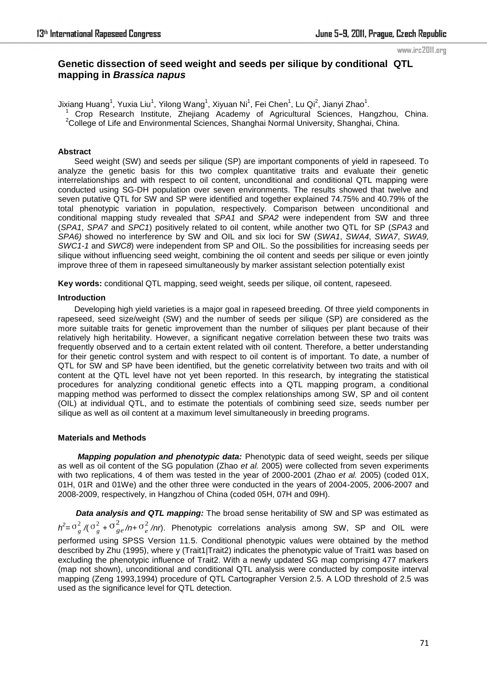#### www.irc2011.org

# **Genetic dissection of seed weight and seeds per silique by conditional QTL mapping in** *Brassica napus*

Jixiang Huang<sup>1</sup>, Yuxia Liu<sup>1</sup>, Yilong Wang<sup>1</sup>, Xiyuan Ni<sup>1</sup>, Fei Chen<sup>1</sup>, Lu Qi<sup>2</sup>, Jianyi Zhao<sup>1</sup>.

1 Crop Research Institute, Zhejiang Academy of Agricultural Sciences, Hangzhou, China. <sup>2</sup>College of Life and Environmental Sciences, Shanghai Normal University, Shanghai, China.

#### **Abstract**

Seed weight (SW) and seeds per silique (SP) are important components of yield in rapeseed. To analyze the genetic basis for this two complex quantitative traits and evaluate their genetic interrelationships and with respect to oil content, unconditional and conditional QTL mapping were conducted using SG-DH population over seven environments. The results showed that twelve and seven putative QTL for SW and SP were identified and together explained 74.75% and 40.79% of the total phenotypic variation in population, respectively. Comparison between unconditional and conditional mapping study revealed that *SPA1* and *SPA2* were independent from SW and three (*SPA1*, *SPA7* and *SPC1*) positively related to oil content, while another two QTL for SP (*SPA3* and *SPA6)* showed no interference by SW and OIL and six loci for SW (*SWA1*, *SWA4*, *SWA7*, *SWA9, SWC1-1* and *SWC8*) were independent from SP and OIL. So the possibilities for increasing seeds per silique without influencing seed weight, combining the oil content and seeds per silique or even jointly improve three of them in rapeseed simultaneously by marker assistant selection potentially exist

**Key words:** conditional QTL mapping, seed weight, seeds per silique, oil content, rapeseed.

#### **Introduction**

Developing high yield varieties is a major goal in rapeseed breeding. Of three yield components in rapeseed, seed size/weight (SW) and the number of seeds per silique (SP) are considered as the more suitable traits for genetic improvement than the number of siliques per plant because of their relatively high heritability. However, a significant negative correlation between these two traits was frequently observed and to a certain extent related with oil content. Therefore, a better understanding for their genetic control system and with respect to oil content is of important. To date, a number of QTL for SW and SP have been identified, but the genetic correlativity between two traits and with oil content at the QTL level have not yet been reported. In this research, by integrating the statistical procedures for analyzing conditional genetic effects into a QTL mapping program, a conditional mapping method was performed to dissect the complex relationships among SW, SP and oil content (OIL) at individual QTL, and to estimate the potentials of combining seed size, seeds number per silique as well as oil content at a maximum level simultaneously in breeding programs.

### **Materials and Methods**

*Mapping population and phenotypic data:* Phenotypic data of seed weight, seeds per silique as well as oil content of the SG population (Zhao *et al.* 2005) were collected from seven experiments with two replications, 4 of them was tested in the year of 2000-2001 (Zhao *et al.* 2005) (coded 01X, 01H, 01R and 01We) and the other three were conducted in the years of 2004-2005, 2006-2007 and 2008-2009, respectively, in Hangzhou of China (coded 05H, 07H and 09H).

*Data analysis and QTL mapping:* The broad sense heritability of SW and SP was estimated as  $h^2 = \sigma_g^2$  /( $\sigma_g^2$  + $\sigma_{ge}^2$ /n+ $\sigma_e^2$ /nr). Phenotypic correlations analysis among SW, SP and OIL were performed using SPSS Version 11.5. Conditional phenotypic values were obtained by the method described by Zhu (1995), where y (Trait1|Trait2) indicates the phenotypic value of Trait1 was based on excluding the phenotypic influence of Trait2. With a newly updated SG map comprising 477 markers (map not shown), unconditional and conditional QTL analysis were conducted by composite interval mapping (Zeng 1993,1994) procedure of QTL Cartographer Version 2.5. A LOD threshold of 2.5 was used as the significance level for QTL detection.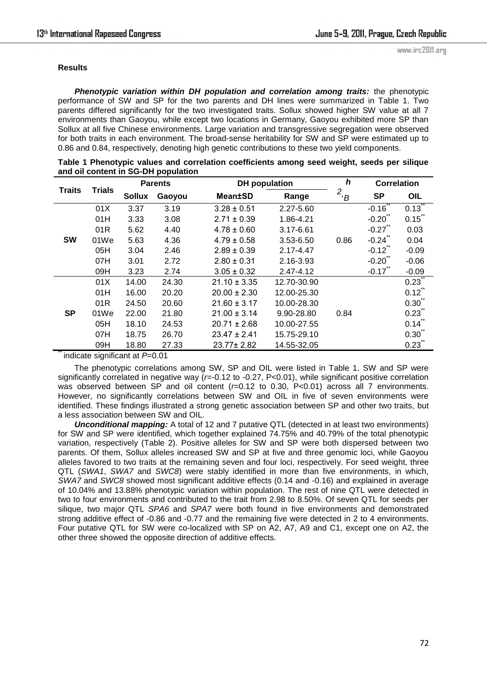## **Results**

*Phenotypic variation within DH population and correlation among traits:* the phenotypic performance of SW and SP for the two parents and DH lines were summarized in Table 1. Two parents differed significantly for the two investigated traits. Sollux showed higher SW value at all 7 environments than Gaoyou, while except two locations in Germany, Gaoyou exhibited more SP than Sollux at all five Chinese environments. Large variation and transgressive segregation were observed for both traits in each environment. The broad-sense heritability for SW and SP were estimated up to 0.86 and 0.84, respectively, denoting high genetic contributions to these two yield components.

| Table 1 Phenotypic values and correlation coefficients among seed weight, seeds per silique |  |  |
|---------------------------------------------------------------------------------------------|--|--|
| and oil content in SG-DH population                                                         |  |  |
|                                                                                             |  |  |

|               | <b>Trials</b> | <b>Parents</b> |        | <b>DH</b> population |                   | h              | <b>Correlation</b> |              |  |
|---------------|---------------|----------------|--------|----------------------|-------------------|----------------|--------------------|--------------|--|
| <b>Traits</b> |               | <b>Sollux</b>  | Gaoyou | <b>Mean±SD</b>       | Range             | 2<br>$\cdot$ B | <b>SP</b>          | OIL          |  |
|               | 01X           | 3.37           | 3.19   | $3.28 \pm 0.51$      | 2.27-5.60         |                | $-0.16$            | 0.13         |  |
| <b>SW</b>     | 01H           | 3.33           | 3.08   | $2.71 \pm 0.39$      | 1.86-4.21         |                | $-0.20$            | 0.15         |  |
|               | 01R           | 5.62           | 4.40   | $4.78 \pm 0.60$      | 3.17-6.61         |                | $-0.27$            | 0.03         |  |
|               | 01We          | 5.63           | 4.36   | $4.79 \pm 0.58$      | 3.53-6.50<br>0.86 |                | $-0.24$            | 0.04         |  |
|               | 05H           | 3.04           | 2.46   | $2.89 \pm 0.39$      | 2.17-4.47         |                | $-0.12$            | $-0.09$      |  |
|               | 07H           | 3.01           | 2.72   | $2.80 \pm 0.31$      | 2.16-3.93         |                | $-0.20$            | $-0.06$      |  |
|               | 09H           | 3.23           | 2.74   | $3.05 \pm 0.32$      | 2.47-4.12         |                | $-0.17$            | $-0.09$      |  |
|               | 01X           | 14.00          | 24.30  | $21.10 \pm 3.35$     | 12.70-30.90       |                |                    | 0.23         |  |
|               | 01H           | 16.00          | 20.20  | $20.00 \pm 2.30$     | 12.00-25.30       |                |                    | $0.12^{n}$   |  |
|               | 01R           | 24.50          | 20.60  | $21.60 \pm 3.17$     | 10.00-28.30       |                |                    | $0.30^\circ$ |  |
| <b>SP</b>     | 01We          | 22.00          | 21.80  | $21.00 \pm 3.14$     | 9.90-28.80        | 0.84           |                    | 0.23         |  |
|               | 05H           | 18.10          | 24.53  | $20.71 \pm 2.68$     | 10.00-27.55       |                |                    | 0.14         |  |
|               | 07H           | 18.75          | 26.70  | $23.47 \pm 2.41$     | 15.75-29.10       |                |                    | $0.30^\circ$ |  |
|               | 09H           | 18.80          | 27.33  | $23.77 \pm 2.82$     | 14.55-32.05       |                |                    | 0.23         |  |

\*\* indicate significant at *P*=0.01

The phenotypic correlations among SW, SP and OIL were listed in Table 1. SW and SP were significantly correlated in negative way (*r=-*0.12 to -0.27, P<0.01), while significant positive correlation was observed between SP and oil content (*r=*0.12 to 0.30, P<0.01) across all 7 environments. However, no significantly correlations between SW and OIL in five of seven environments were identified. These findings illustrated a strong genetic association between SP and other two traits, but a less association between SW and OIL.

**Unconditional mapping:** A total of 12 and 7 putative QTL (detected in at least two environments) for SW and SP were identified, which together explained 74.75% and 40.79% of the total phenotypic variation, respectively (Table 2). Positive alleles for SW and SP were both dispersed between two parents. Of them, Sollux alleles increased SW and SP at five and three genomic loci, while Gaoyou alleles favored to two traits at the remaining seven and four loci, respectively. For seed weight, three QTL (*SWA1*, *SWA7* and *SWC8*) were stably identified in more than five environments, in which, *SWA7* and *SWC8* showed most significant additive effects (0.14 and -0.16) and explained in average of 10.04% and 13.88% phenotypic variation within population. The rest of nine QTL were detected in two to four environments and contributed to the trait from 2.98 to 8.50%. Of seven QTL for seeds per silique, two major QTL *SPA6* and *SPA7* were both found in five environments and demonstrated strong additive effect of -0.86 and -0.77 and the remaining five were detected in 2 to 4 environments. Four putative QTL for SW were co-localized with SP on A2, A7, A9 and C1, except one on A2, the other three showed the opposite direction of additive effects.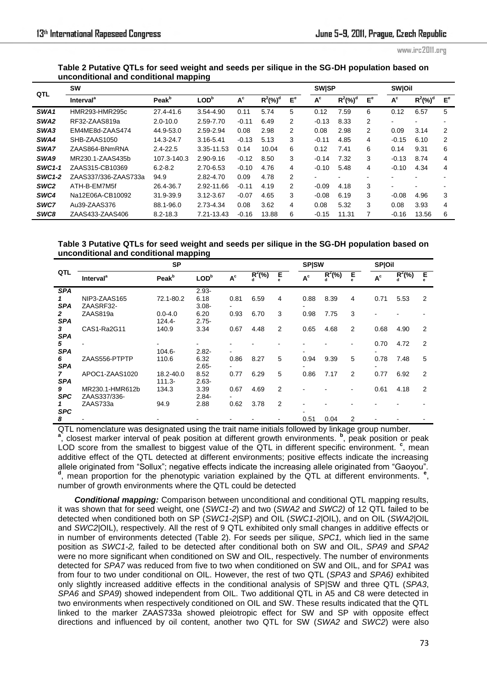www.irc2011.org

# **Table 2 Putative QTLs for seed weight and seeds per silique in the SG-DH population based on unconditional and conditional mapping**

| QTL              | <b>SW</b>                    |                   |                  |         |                        |                | <b>SWISP</b>          |                        |                | <b>SWOil</b> |                        |                |
|------------------|------------------------------|-------------------|------------------|---------|------------------------|----------------|-----------------------|------------------------|----------------|--------------|------------------------|----------------|
|                  | <b>Interval</b> <sup>a</sup> | Peak <sup>b</sup> | LOD <sup>b</sup> | $A^c$   | $R^2$ (%) <sup>d</sup> | E <sup>e</sup> | $\textbf{A}^\text{c}$ | $R^2$ (%) <sup>d</sup> | E <sup>e</sup> | $A^c$        | $R^2$ (%) <sup>d</sup> | E <sup>e</sup> |
| SWA <sub>1</sub> | HMR293-HMR295c               | 27.4-41.6         | 3.54-4.90        | 0.11    | 5.74                   | 5              | 0.12                  | 7.59                   | 6              | 0.12         | 6.57                   | 5              |
| SWA2             | RF32-ZAAS819a                | $2.0 - 10.0$      | 2.59-7.70        | $-0.11$ | 6.49                   | 2              | $-0.13$               | 8.33                   | 2              | ۰            |                        |                |
| SWA3             | EM4ME8d-ZAAS474              | 44.9-53.0         | 2.59-2.94        | 0.08    | 2.98                   | 2              | 0.08                  | 2.98                   | 2              | 0.09         | 3.14                   | 2              |
| SWA4             | SHB-ZAAS1050                 | 14.3-24.7         | 3.16-5.41        | $-0.13$ | 5.13                   | 3              | $-0.11$               | 4.85                   | 4              | $-0.15$      | 6.10                   | 2              |
| SWA7             | ZAAS864-BNmRNA               | $2.4 - 22.5$      | 3.35-11.53       | 0.14    | 10.04                  | 6              | 0.12                  | 7.41                   | 6              | 0.14         | 9.31                   | 6              |
| SWA9             | MR230.1-ZAAS435b             | 107.3-140.3       | 2.90-9.16        | $-0.12$ | 8.50                   | 3              | $-0.14$               | 7.32                   | 3              | $-0.13$      | 8.74                   | 4              |
| <b>SWC1-1</b>    | ZAAS315-CB10369              | $6.2 - 8.2$       | 2.70-6.53        | $-0.10$ | 4.76                   | 4              | $-0.10$               | 5.48                   | 4              | $-0.10$      | 4.34                   | 4              |
| <b>SWC1-2</b>    | ZAAS337/336-ZAAS733a         | 94.9              | 2.82-4.70        | 0.09    | 4.78                   | 2              | ۰                     |                        |                |              |                        |                |
| SWC <sub>2</sub> | ATH-B-EM7M5f                 | 26.4-36.7         | 2.92-11.66       | $-0.11$ | 4.19                   | 2              | $-0.09$               | 4.18                   | 3              | ۰            |                        |                |
| SWC4             | Na12E06A-CB10092             | 31.9-39.9         | $3.12 - 3.67$    | $-0.07$ | 4.65                   | 3              | $-0.08$               | 6.19                   | 3              | $-0.08$      | 4.96                   | 3              |
| SWC7             | Au39-ZAAS376                 | 88.1-96.0         | 2.73-4.34        | 0.08    | 3.62                   | 4              | 0.08                  | 5.32                   | 3              | 0.08         | 3.93                   | 4              |
| SWC8             | ZAAS433-ZAAS406              | $8.2 - 18.3$      | 7.21-13.43       | $-0.16$ | 13.88                  | 6              | $-0.15$               | 11.31                  |                | $-0.16$      | 13.56                  | 6              |

# **Table 3 Putative QTLs for seed weight and seeds per silique in the SG-DH population based on unconditional and conditional mapping**

|              | <b>SP</b>             |                   |                  |                         |            |                | <b>SP SW</b>            |            |   |                         | <b>SPOOI</b> |   |  |
|--------------|-----------------------|-------------------|------------------|-------------------------|------------|----------------|-------------------------|------------|---|-------------------------|--------------|---|--|
| QTL          | Interval <sup>a</sup> | Peak <sup>b</sup> | LOD <sup>b</sup> | $\textbf{A}^\textup{c}$ | $R^2(\% )$ | $E_e$          | $\textbf{A}^\textbf{c}$ | $R^2(\% )$ | E | $\texttt{A}^\texttt{c}$ | $R^2(\% )$   | Ĕ |  |
| <b>SPA</b>   |                       |                   | $2.93 -$         |                         |            |                |                         |            |   |                         |              |   |  |
| 1            | NIP3-ZAAS165          | 72.1-80.2         | 6.18             | 0.81                    | 6.59       | 4              | 0.88                    | 8.39       | 4 | 0.71                    | 5.53         | 2 |  |
| SPA          | ZAASRF32-             |                   | $3.08 -$         |                         |            |                |                         |            |   |                         |              |   |  |
| $\mathbf{2}$ | ZAAS819a              | $0.0 - 4.0$       | 6.20             | 0.93                    | 6.70       | 3              | 0.98                    | 7.75       | 3 |                         |              |   |  |
| <b>SPA</b>   |                       | $124.4 -$         | $2.75 -$         |                         |            |                |                         |            |   |                         |              |   |  |
| 3            | CAS1-Ra2G11           | 140.9             | 3.34             | 0.67                    | 4.48       | 2              | 0.65                    | 4.68       | 2 | 0.68                    | 4.90         | 2 |  |
| <b>SPA</b>   |                       |                   |                  |                         |            |                |                         |            |   |                         |              |   |  |
| 5            |                       |                   |                  |                         |            |                |                         |            |   | 0.70                    | 4.72         | 2 |  |
| <b>SPA</b>   |                       | $104.6 -$         | $2.82 -$         |                         |            |                |                         |            |   |                         |              |   |  |
| 6            | ZAAS556-PTPTP         | 110.6             | 6.32             | 0.86                    | 8.27       | 5              | 0.94                    | 9.39       | 5 | 0.78                    | 7.48         | 5 |  |
| <b>SPA</b>   |                       |                   | $2.65 -$         |                         |            |                |                         |            |   |                         |              |   |  |
| 7            | APOC1-ZAAS1020        | 18.2-40.0         | 8.52             | 0.77                    | 6.29       | 5              | 0.86                    | 7.17       | 2 | 0.77                    | 6.92         | 2 |  |
| <b>SPA</b>   |                       | $111.3 -$         | $2.63 -$         |                         |            |                |                         |            |   |                         |              |   |  |
| 9            | MR230.1-HMR612b       | 134.3             | 3.39             | 0.67                    | 4.69       | $\overline{2}$ |                         |            |   | 0.61                    | 4.18         | 2 |  |
| <b>SPC</b>   | ZAAS337/336-          |                   | $2.84 -$         |                         |            |                |                         |            |   |                         |              |   |  |
| 1            | ZAAS733a              | 94.9              | 2.88             | 0.62                    | 3.78       | $\overline{2}$ |                         |            |   |                         |              |   |  |
| <b>SPC</b>   |                       |                   |                  |                         |            |                |                         |            |   |                         |              |   |  |
| 8            |                       |                   |                  |                         |            |                | 0.51                    | 0.04       | 2 |                         |              |   |  |

QTL nomenclature was designated using the trait name initials followed by linkage group number. **a** , closest marker interval of peak position at different growth environments. **<sup>b</sup>** , peak position or peak LOD score from the smallest to biggest value of the QTL in different specific environment. <sup>c</sup>, mean additive effect of the QTL detected at different environments; positive effects indicate the increasing allele originated from "Sollux"; negative effects indicate the increasing allele originated from "Gaoyou". **d** , mean proportion for the phenotypic variation explained by the QTL at different environments. **<sup>e</sup>** , number of growth environments where the QTL could be detected

**Conditional mapping:** Comparison between unconditional and conditional QTL mapping results, it was shown that for seed weight, one (*SWC1-2*) and two (*SWA2* and *SWC2)* of 12 QTL failed to be detected when conditioned both on SP (*SWC1-2*|SP) and OIL (*SWC1-2*|OIL), and on OIL (*SWA2*|OIL and *SWC2|*OIL), respectively. All the rest of 9 QTL exhibited only small changes in additive effects or in number of environments detected (Table 2). For seeds per silique, *SPC1,* which lied in the same position as *SWC1-2,* failed to be detected after conditional both on SW and OIL, *SPA9* and *SPA2*  were no more significant when conditioned on SW and OIL, respectively. The number of environments detected for *SPA7* was reduced from five to two when conditioned on SW and OIL, and for *SPA1* was from four to two under conditional on OIL. However, the rest of two QTL (*SPA3* and *SPA6)* exhibited only slightly increased additive effects in the conditional analysis of SP|SW and three QTL (*SPA3*, *SPA6* and *SPA9*) showed independent from OIL. Two additional QTL in A5 and C8 were detected in two environments when respectively conditioned on OIL and SW. These results indicated that the QTL linked to the marker ZAAS733a showed pleiotropic effect for SW and SP with opposite effect directions and influenced by oil content, another two QTL for SW (*SWA2* and *SWC2*) were also